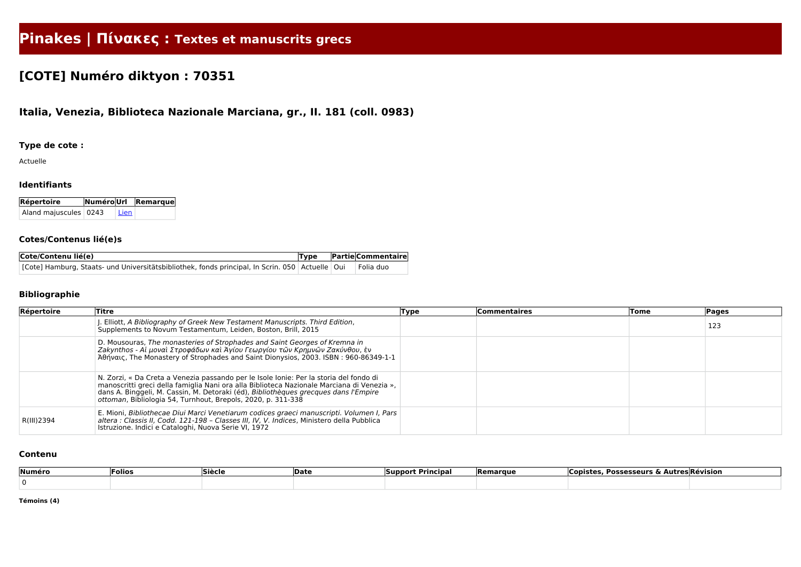# **Pinakes | Πίνακες : Textes et manuscrits grecs**

# **[COTE] Numéro diktyon : 70351**

# **Italia, Venezia, Biblioteca Nazionale Marciana, gr., II. 181 (coll. 0983)**

### **Type de cote :**

Actuelle

#### **Identifiants**

| Répertoire              |      | NuméroUrl Remarque |  |  |  |
|-------------------------|------|--------------------|--|--|--|
| Aland majuscules   0243 | Lien |                    |  |  |  |

#### **Cotes/Contenus lié(e)s**

| Cote/Contenu lié(e)                                                                               | Type | <b>Partie Commentaire</b> |
|---------------------------------------------------------------------------------------------------|------|---------------------------|
| [Cote] Hamburg, Staats- und Universitätsbibliothek, fonds principal, In Scrin. 050 Actuelle   Oui |      | Folia duo                 |

## **Bibliographie**

| Répertoire | Titre                                                                                                                                                                                                                                                                                                                                       | Type | <b>Commentaires</b> | Tome | Pages |
|------------|---------------------------------------------------------------------------------------------------------------------------------------------------------------------------------------------------------------------------------------------------------------------------------------------------------------------------------------------|------|---------------------|------|-------|
|            | J. Elliott, A Bibliography of Greek New Testament Manuscripts. Third Edition,<br>Supplements to Novum Testamentum, Leiden, Boston, Brill, 2015                                                                                                                                                                                              |      |                     |      | 123   |
|            | D. Mousouras, The monasteries of Strophades and Saint Georges of Kremna in<br>  Zakynthos - Αἱ μοναὶ Στροφάδων καὶ Ἀγίου Γεωργίου τῶν Κρημνῶν Ζακύνθου, ἐν<br>Άθηναις, The Monastery of Strophades and Saint Dionysios, 2003. ISBN: 960-86349-1-1                                                                                           |      |                     |      |       |
|            | N. Zorzi, « Da Creta a Venezia passando per le Isole Ionie: Per la storia del fondo di<br>manoscritti greci della famiglia Nani ora alla Biblioteca Nazionale Marciana di Venezia »,<br>dans A. Binggeli, M. Cassin, M. Detoraki (éd), Bibliothèques grecques dans l'Empire<br>ottoman, Bibliologia 54, Turnhout, Brepols, 2020, p. 311-338 |      |                     |      |       |
| R(III)2394 | E. Mioni, Bibliothecae Diui Marci Venetiarum codices graeci manuscripti. Volumen I, Pars<br>altera : Classis II, Codd. 121-198 - Classes III, IV, V. Indices, Ministero della Pubblica<br>Istruzione. Indici e Cataloghi, Nuova Serie VI, 1972                                                                                              |      |                     |      |       |

#### **Contenu**

| Numéro | Folios | Siècle | ∣Date | <b>Support Principal</b> | <b>Remarque</b> | <b>Possesseurs</b><br>Copister |  |
|--------|--------|--------|-------|--------------------------|-----------------|--------------------------------|--|
|        |        |        |       |                          |                 |                                |  |
|        |        |        |       |                          |                 |                                |  |

**Témoins (4)**